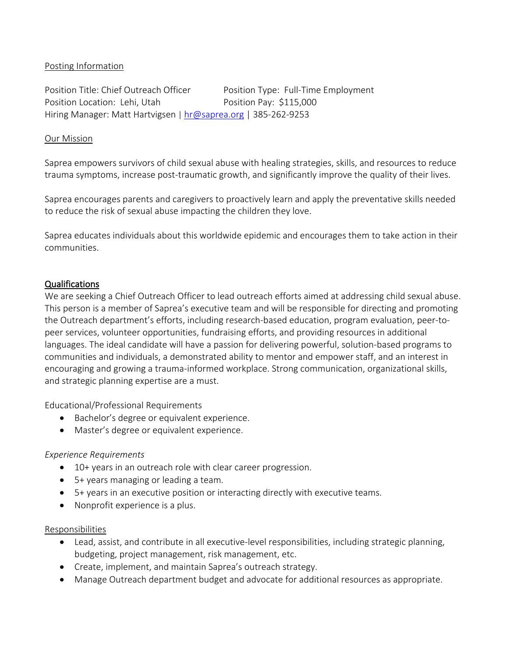## Posting Information

Position Title: Chief Outreach Officer Position Type: Full-Time Employment Position Location: Lehi, Utah Position Pay: \$115,000 Hiring Manager: Matt Hartvigsen | hr@saprea.org | 385-262-9253

#### Our Mission

Saprea empowers survivors of child sexual abuse with healing strategies, skills, and resources to reduce trauma symptoms, increase post-traumatic growth, and significantly improve the quality of their lives.

Saprea encourages parents and caregivers to proactively learn and apply the preventative skills needed to reduce the risk of sexual abuse impacting the children they love.

Saprea educates individuals about this worldwide epidemic and encourages them to take action in their communities.

### Qualifications

We are seeking a Chief Outreach Officer to lead outreach efforts aimed at addressing child sexual abuse. This person is a member of Saprea's executive team and will be responsible for directing and promoting the Outreach department's efforts, including research-based education, program evaluation, peer-topeer services, volunteer opportunities, fundraising efforts, and providing resources in additional languages. The ideal candidate will have a passion for delivering powerful, solution-based programs to communities and individuals, a demonstrated ability to mentor and empower staff, and an interest in encouraging and growing a trauma-informed workplace. Strong communication, organizational skills, and strategic planning expertise are a must.

Educational/Professional Requirements

- Bachelor's degree or equivalent experience.
- Master's degree or equivalent experience.

### *Experience Requirements*

- 10+ years in an outreach role with clear career progression.
- 5+ years managing or leading a team.
- 5+ years in an executive position or interacting directly with executive teams.
- Nonprofit experience is a plus.

#### Responsibilities

- Lead, assist, and contribute in all executive-level responsibilities, including strategic planning, budgeting, project management, risk management, etc.
- Create, implement, and maintain Saprea's outreach strategy.
- Manage Outreach department budget and advocate for additional resources as appropriate.